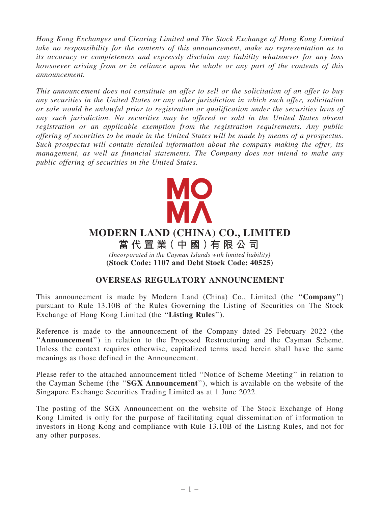*Hong Kong Exchanges and Clearing Limited and The Stock Exchange of Hong Kong Limited take no responsibility for the contents of this announcement, make no representation as to its accuracy or completeness and expressly disclaim any liability whatsoever for any loss howsoever arising from or in reliance upon the whole or any part of the contents of this announcement.*

*This announcement does not constitute an offer to sell or the solicitation of an offer to buy any securities in the United States or any other jurisdiction in which such offer, solicitation or sale would be unlawful prior to registration or qualification under the securities laws of any such jurisdiction. No securities may be offered or sold in the United States absent registration or an applicable exemption from the registration requirements. Any public offering of securities to be made in the United States will be made by means of a prospectus. Such prospectus will contain detailed information about the company making the offer, its management, as well as financial statements. The Company does not intend to make any public offering of securities in the United States.*



# **MODERN LAND (CHINA) CO., LIMITED**

*(Incorporated in the Cayman Islands with limited liability)* **(Stock Code: 1107 and Debt Stock Code: 40525) 當 代 置 業( 中 國 )有 限 公 司**

### OVERSEAS REGULATORY ANNOUNCEMENT

This announcement is made by Modern Land (China) Co., Limited (the ''Company'') pursuant to Rule 13.10B of the Rules Governing the Listing of Securities on The Stock Exchange of Hong Kong Limited (the "Listing Rules").

Reference is made to the announcement of the Company dated 25 February 2022 (the ''Announcement'') in relation to the Proposed Restructuring and the Cayman Scheme. Unless the context requires otherwise, capitalized terms used herein shall have the same meanings as those defined in the Announcement.

Please refer to the attached announcement titled ''Notice of Scheme Meeting'' in relation to the Cayman Scheme (the ''SGX Announcement''), which is available on the website of the Singapore Exchange Securities Trading Limited as at 1 June 2022.

The posting of the SGX Announcement on the website of The Stock Exchange of Hong Kong Limited is only for the purpose of facilitating equal dissemination of information to investors in Hong Kong and compliance with Rule 13.10B of the Listing Rules, and not for any other purposes.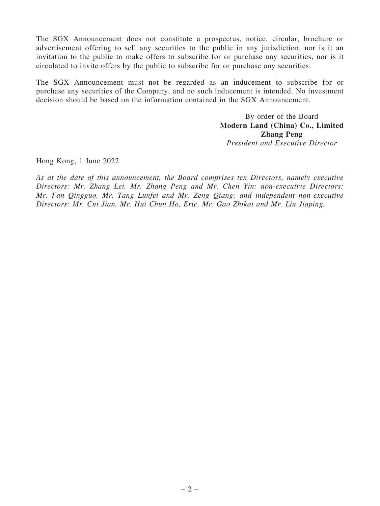The SGX Announcement does not constitute a prospectus, notice, circular, brochure or advertisement offering to sell any securities to the public in any jurisdiction, nor is it an invitation to the public to make offers to subscribe for or purchase any securities, nor is it circulated to invite offers by the public to subscribe for or purchase any securities.

The SGX Announcement must not be regarded as an inducement to subscribe for or purchase any securities of the Company, and no such inducement is intended. No investment decision should be based on the information contained in the SGX Announcement.

> By order of the Board Modern Land (China) Co., Limited Zhang Peng *President and Executive Director*

Hong Kong, 1 June 2022

*As at the date of this announcement, the Board comprises ten Directors, namely executive Directors: Mr. Zhang Lei, Mr. Zhang Peng and Mr. Chen Yin; non-executive Directors: Mr. Fan Qingguo, Mr. Tang Lunfei and Mr. Zeng Qiang; and independent non-executive Directors: Mr. Cui Jian, Mr. Hui Chun Ho, Eric, Mr. Gao Zhikai and Mr. Liu Jiaping.*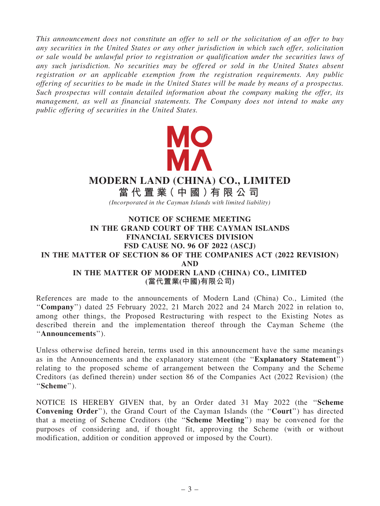*This announcement does not constitute an offer to sell or the solicitation of an offer to buy any securities in the United States or any other jurisdiction in which such offer, solicitation or sale would be unlawful prior to registration or qualification under the securities laws of any such jurisdiction. No securities may be offered or sold in the United States absent registration or an applicable exemption from the registration requirements. Any public offering of securities to be made in the United States will be made by means of a prospectus. Such prospectus will contain detailed information about the company making the offer, its management, as well as financial statements. The Company does not intend to make any public offering of securities in the United States.*



## **MODERN LAND (CHINA) CO., LIMITED**

*(Incorporated in the Cayman Islands with limited liability)* **當 代 置 業( 中 國 )有 限 公 司**

#### NOTICE OF SCHEME MEETING IN THE GRAND COURT OF THE CAYMAN ISLANDS FINANCIAL SERVICES DIVISION FSD CAUSE NO. 96 OF 2022 (ASCJ) IN THE MATTER OF SECTION 86 OF THE COMPANIES ACT (2022 REVISION) AND IN THE MATTER OF MODERN LAND (CHINA) CO., LIMITED (當代置業(中國)有限公司)

References are made to the announcements of Modern Land (China) Co., Limited (the ''Company'') dated 25 February 2022, 21 March 2022 and 24 March 2022 in relation to, among other things, the Proposed Restructuring with respect to the Existing Notes as described therein and the implementation thereof through the Cayman Scheme (the "Announcements").

Unless otherwise defined herein, terms used in this announcement have the same meanings as in the Announcements and the explanatory statement (the ''Explanatory Statement'') relating to the proposed scheme of arrangement between the Company and the Scheme Creditors (as defined therein) under section 86 of the Companies Act (2022 Revision) (the "Scheme").

NOTICE IS HEREBY GIVEN that, by an Order dated 31 May 2022 (the ''Scheme Convening Order''), the Grand Court of the Cayman Islands (the ''Court'') has directed that a meeting of Scheme Creditors (the ''Scheme Meeting'') may be convened for the purposes of considering and, if thought fit, approving the Scheme (with or without modification, addition or condition approved or imposed by the Court).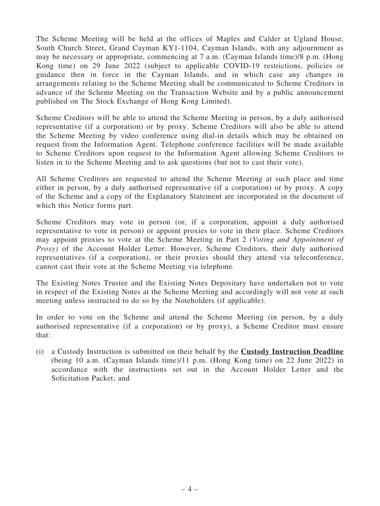The Scheme Meeting will be held at the offices of Maples and Calder at Ugland House, South Church Street, Grand Cayman KY1-1104, Cayman Islands, with any adjournment as may be necessary or appropriate, commencing at 7 a.m. (Cayman Islands time)/8 p.m. (Hong Kong time) on 29 June 2022 (subject to applicable COVID-19 restrictions, policies or guidance then in force in the Cayman Islands, and in which case any changes in arrangements relating to the Scheme Meeting shall be communicated to Scheme Creditors in advance of the Scheme Meeting on the Transaction Website and by a public announcement published on The Stock Exchange of Hong Kong Limited).

Scheme Creditors will be able to attend the Scheme Meeting in person, by a duly authorised representative (if a corporation) or by proxy. Scheme Creditors will also be able to attend the Scheme Meeting by video conference using dial-in details which may be obtained on request from the Information Agent. Telephone conference facilities will be made available to Scheme Creditors upon request to the Information Agent allowing Scheme Creditors to listen in to the Scheme Meeting and to ask questions (but not to cast their vote).

All Scheme Creditors are requested to attend the Scheme Meeting at such place and time either in person, by a duly authorised representative (if a corporation) or by proxy. A copy of the Scheme and a copy of the Explanatory Statement are incorporated in the document of which this Notice forms part.

Scheme Creditors may vote in person (or, if a corporation, appoint a duly authorised representative to vote in person) or appoint proxies to vote in their place. Scheme Creditors may appoint proxies to vote at the Scheme Meeting in Part 2 *(Voting and Appointment of Proxy*) of the Account Holder Letter. However, Scheme Creditors, their duly authorised representatives (if a corporation), or their proxies should they attend via teleconference, cannot cast their vote at the Scheme Meeting via telephone.

The Existing Notes Trustee and the Existing Notes Depositary have undertaken not to vote in respect of the Existing Notes at the Scheme Meeting and accordingly will not vote at such meeting unless instructed to do so by the Noteholders (if applicable).

In order to vote on the Scheme and attend the Scheme Meeting (in person, by a duly authorised representative (if a corporation) or by proxy), a Scheme Creditor must ensure that:

(i) a Custody Instruction is submitted on their behalf by the Custody Instruction Deadline (being 10 a.m. (Cayman Islands time)/11 p.m. (Hong Kong time) on 22 June 2022) in accordance with the instructions set out in the Account Holder Letter and the Solicitation Packet; and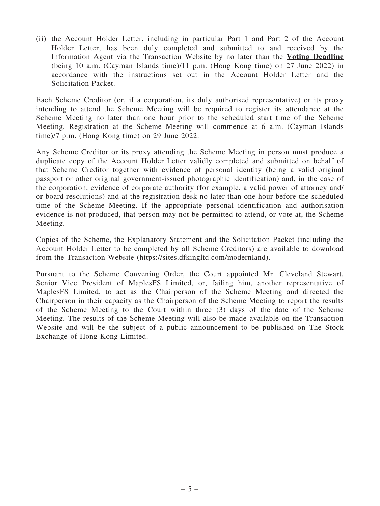(ii) the Account Holder Letter, including in particular Part 1 and Part 2 of the Account Holder Letter, has been duly completed and submitted to and received by the Information Agent via the Transaction Website by no later than the Voting Deadline (being 10 a.m. (Cayman Islands time)/11 p.m. (Hong Kong time) on 27 June 2022) in accordance with the instructions set out in the Account Holder Letter and the Solicitation Packet.

Each Scheme Creditor (or, if a corporation, its duly authorised representative) or its proxy intending to attend the Scheme Meeting will be required to register its attendance at the Scheme Meeting no later than one hour prior to the scheduled start time of the Scheme Meeting. Registration at the Scheme Meeting will commence at 6 a.m. (Cayman Islands time)/7 p.m. (Hong Kong time) on 29 June 2022.

Any Scheme Creditor or its proxy attending the Scheme Meeting in person must produce a duplicate copy of the Account Holder Letter validly completed and submitted on behalf of that Scheme Creditor together with evidence of personal identity (being a valid original passport or other original government-issued photographic identification) and, in the case of the corporation, evidence of corporate authority (for example, a valid power of attorney and/ or board resolutions) and at the registration desk no later than one hour before the scheduled time of the Scheme Meeting. If the appropriate personal identification and authorisation evidence is not produced, that person may not be permitted to attend, or vote at, the Scheme Meeting.

Copies of the Scheme, the Explanatory Statement and the Solicitation Packet (including the Account Holder Letter to be completed by all Scheme Creditors) are available to download from the Transaction Website (https://sites.dfkingltd.com/modernland).

Pursuant to the Scheme Convening Order, the Court appointed Mr. Cleveland Stewart, Senior Vice President of MaplesFS Limited, or, failing him, another representative of MaplesFS Limited, to act as the Chairperson of the Scheme Meeting and directed the Chairperson in their capacity as the Chairperson of the Scheme Meeting to report the results of the Scheme Meeting to the Court within three (3) days of the date of the Scheme Meeting. The results of the Scheme Meeting will also be made available on the Transaction Website and will be the subject of a public announcement to be published on The Stock Exchange of Hong Kong Limited.